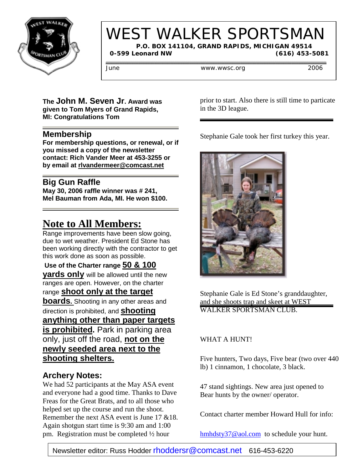

# WEST WALKER SPORTSMAN

 **P.O. BOX 141104, GRAND RAPIDS, MICHIGAN 49514 0-599 Leonard NW (616) 453-5081**

June www.wwsc.org 2006

#### **The John M. Seven Jr. Award was given to Tom Myers of Grand Rapids, MI: Congratulations Tom**

### **Membership**

**For membership questions, or renewal, or if you missed a copy of the newsletter contact: Rich Vander Meer at 453-3255 or by email at rlvandermeer@comcast.net**

### **Big Gun Raffle**

**May 30, 2006 raffle winner was # 241, Mel Bauman from Ada, MI. He won \$100.**

# **Note to All Members:**

Range improvements have been slow going, due to wet weather. President Ed Stone has been working directly with the contractor to get this work done as soon as possible.

 **Use of the Charter range 50 & 100 yards only** will be allowed until the new ranges are open. However, on the charter range **shoot only at the target boards.** Shooting in any other areas and direction is prohibited, and **shooting anything other than paper targets is prohibited.** Park in parking area only, just off the road, **not on the newly seeded area next to the shooting shelters.**

### **Archery Notes:**

We had 52 participants at the May ASA event and everyone had a good time. Thanks to Dave Freas for the Great Brats, and to all those who helped set up the course and run the shoot. Remember the next ASA event is June 17 &18. Again shotgun start time is 9:30 am and 1:00 pm. Registration must be completed ½ hour

prior to start. Also there is still time to particate in the 3D league.

Stephanie Gale took her first turkey this year.



Stephanie Gale is Ed Stone's granddaughter, and she shoots trap and skeet at WEST WALKER SPORTSMAN CLUB.

### WHAT A HUNT!

Five hunters, Two days, Five bear (two over 440 lb) 1 cinnamon, 1 chocolate, 3 black.

47 stand sightings. New area just opened to Bear hunts by the owner/ operator.

Contact charter member Howard Hull for info:

hmhdsty37@aol.com to schedule your hunt.

Newsletter editor: Russ Hodder rhoddersr@comcast.net 616-453-6220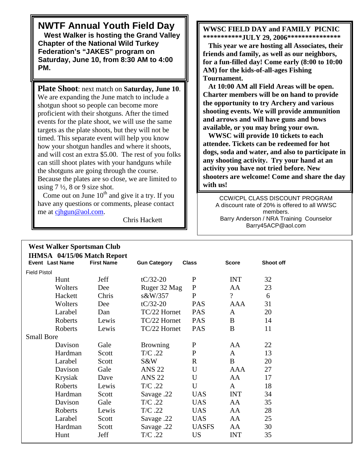**NWTF Annual Youth Field Day West Walker is hosting the Grand Valley Chapter of the National Wild Turkey Federation's "JAKES" program on**

**Saturday, June 10, from 8:30 AM to 4:00 PM.**

**Plate Shoot**: next match on **Saturday, June 10**. We are expanding the June match to include a shotgun shoot so people can become more proficient with their shotguns. After the timed events for the plate shoot, we will use the same targets as the plate shoots, but they will not be timed. This separate event will help you know how your shotgun handles and where it shoots, and will cost an extra \$5.00. The rest of you folks can still shoot plates with your handguns while the shotguns are going through the course. Because the plates are so close, we are limited to using  $7\frac{1}{2}$ , 8 or 9 size shot.

Come out on June  $10^{th}$  and give it a try. If you have any questions or comments, please contact me at cjhgun@aol.com.

**West Walker Sportsman Club**

Chris Hackett

#### **WWSC FIELD DAY and FAMILY PICNIC \*\*\*\*\*\*\*\*\*\*\*JULY 29, 2006\*\*\*\*\*\*\*\*\*\*\*\*\*\*\***

 **This year we are hosting all Associates, their friends and family, as well as our neighbors, for a fun-filled day! Come early (8:00 to 10:00 AM) for the kids-of-all-ages Fishing Tournament.**

 **At 10:00 AM all Field Areas will be open. Charter members will be on hand to provide the opportunity to try Archery and various shooting events. We will provide ammunition and arrows and will have guns and bows available, or you may bring your own.**

 **WWSC will provide 10 tickets to each attendee. Tickets can be redeemed for hot dogs, soda and water, and also to participate in any shooting activity. Try your hand at an activity you have not tried before. New shooters are welcome! Come and share the day with us!**

CCW/CPL CLASS DISCOUNT PROGRAM A discount rate of 20% is offered to all WWSC members. Barry Anderson / NRA Training Counselor Barry45ACP@aol.com

| Event Last Name     | IHMSA 04/15/06 Match Report<br><b>First Name</b> | <b>Gun Category</b> | <b>Class</b> | <b>Score</b>             | Shoot off |
|---------------------|--------------------------------------------------|---------------------|--------------|--------------------------|-----------|
| <b>Field Pistol</b> |                                                  |                     |              |                          |           |
| Hunt                | Jeff                                             | $tC/32-20$          | $\mathbf{P}$ | <b>INT</b>               | 32        |
|                     | Wolters<br>Dee                                   | Ruger 32 Mag        | ${\bf P}$    | AA                       | 23        |
|                     | Hackett<br>Chris                                 | s&W/357             | $\mathbf{P}$ | $\overline{\mathcal{C}}$ | 6         |
|                     | Wolters<br>Dee                                   | $tC/32-20$          | <b>PAS</b>   | AAA                      | 31        |
|                     | Larabel<br>Dan                                   | TC/22 Hornet        | <b>PAS</b>   | $\mathbf{A}$             | 20        |
|                     | Roberts<br>Lewis                                 | TC/22 Hornet        | <b>PAS</b>   | B                        | 14        |
|                     | Roberts<br>Lewis                                 | TC/22 Hornet        | <b>PAS</b>   | B                        | 11        |
| <b>Small Bore</b>   |                                                  |                     |              |                          |           |
|                     | Davison<br>Gale                                  | <b>Browning</b>     | $\mathbf{P}$ | AA                       | 22        |
|                     | Hardman<br>Scott                                 | $T/C$ .22           | ${\bf P}$    | $\mathbf{A}$             | 13        |
|                     | Larabel<br>Scott                                 | S&W                 | $\mathbf R$  | B                        | 20        |
|                     | Gale<br>Davison                                  | <b>ANS 22</b>       | U            | AAA                      | 27        |
|                     | Krysiak<br>Dave                                  | <b>ANS 22</b>       | $\mathbf U$  | AA                       | 17        |
|                     | Roberts<br>Lewis                                 | $T/C$ .22           | U            | $\mathbf{A}$             | 18        |
|                     | Hardman<br>Scott                                 | Savage .22          | <b>UAS</b>   | <b>INT</b>               | 34        |
|                     | Davison<br>Gale                                  | $T/C$ .22           | <b>UAS</b>   | AA                       | 35        |
|                     | Roberts<br>Lewis                                 | $T/C$ .22           | <b>UAS</b>   | AA                       | 28        |
|                     | Larabel<br>Scott                                 | Savage .22          | <b>UAS</b>   | AA                       | 25        |
|                     | Hardman<br>Scott                                 | Savage .22          | <b>UASFS</b> | AA                       | 30        |
| Hunt                | Jeff                                             | $T/C$ .22           | <b>US</b>    | <b>INT</b>               | 35        |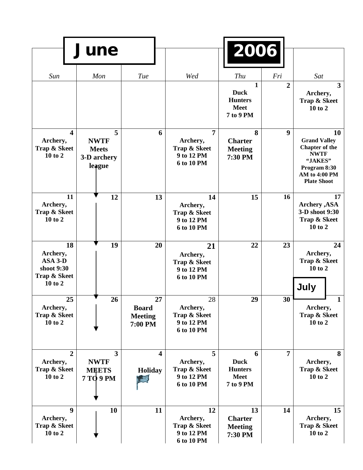|                                                                      | June                                                                       |                                                 |                                                                        | 2006                                                                      |                  |                                                                                                                                     |
|----------------------------------------------------------------------|----------------------------------------------------------------------------|-------------------------------------------------|------------------------------------------------------------------------|---------------------------------------------------------------------------|------------------|-------------------------------------------------------------------------------------------------------------------------------------|
| Sun                                                                  | Mon                                                                        | Tue                                             | Wed                                                                    | Thu                                                                       | Fri              | Sat                                                                                                                                 |
|                                                                      |                                                                            |                                                 |                                                                        | $\mathbf{1}$<br><b>Duck</b><br><b>Hunters</b><br><b>Meet</b><br>7 to 9 PM | $\overline{2}$   | $\mathbf{3}$<br>Archery,<br>Trap & Skeet<br>10 to 2                                                                                 |
| $\overline{\mathbf{4}}$<br>Archery,<br>Trap & Skeet<br>10 to 2       | 5<br><b>NWTF</b><br><b>Meets</b><br>3-D archery<br>league                  | 6                                               | $\overline{7}$<br>Archery,<br>Trap & Skeet<br>9 to 12 PM<br>6 to 10 PM | 8<br><b>Charter</b><br><b>Meeting</b><br>7:30 PM                          | $\boldsymbol{9}$ | 10<br><b>Grand Valley</b><br><b>Chapter of the</b><br><b>NWTF</b><br>"JAKES"<br>Program 8:30<br>AM to 4:00 PM<br><b>Plate Shoot</b> |
| 11<br>Archery,<br>Trap & Skeet<br>10 to 2                            | 12                                                                         | 13                                              | 14<br>Archery,<br>Trap & Skeet<br>9 to 12 PM<br>6 to 10 PM             | 15                                                                        | 16               | 17<br><b>Archery</b> , ASA<br>3-D shoot 9:30<br>Trap & Skeet<br>10 to 2                                                             |
| 18<br>Archery,<br>$ASA$ 3-D<br>shoot 9:30<br>Trap & Skeet<br>10 to 2 | 19                                                                         | 20                                              | 21<br>Archery,<br><b>Trap &amp; Skeet</b><br>9 to 12 PM<br>6 to 10 PM  | 22                                                                        | 23               | 24<br>Archery,<br>Trap & Skeet<br>10 to 2<br>July                                                                                   |
| 25<br>Archery,<br>Trap & Skeet<br>10 to 2                            | 26                                                                         | 27<br><b>Board</b><br><b>Meeting</b><br>7:00 PM | 28<br>Archery,<br>Trap & Skeet<br>9 to 12 PM<br>6 to 10 PM             | 29                                                                        | 30               | $\mathbf{1}$<br>Archery,<br>Trap & Skeet<br>10 to 2                                                                                 |
| $\overline{2}$<br>Archery,<br>Trap & Skeet<br>10 to 2                | $\overline{\mathbf{3}}$<br><b>NWTF</b><br><b>MEETS</b><br><b>7 TO 9 PM</b> | $\overline{\mathbf{4}}$<br><b>Holiday</b><br>E  | 5<br>Archery,<br>Trap & Skeet<br>9 to 12 PM<br>6 to 10 PM              | 6<br><b>Duck</b><br><b>Hunters</b><br><b>Meet</b><br>7 to 9 PM            | 7                | 8<br>Archery,<br>Trap & Skeet<br>10 to 2                                                                                            |
| $\boldsymbol{9}$<br>Archery,<br>Trap & Skeet<br>10 to 2              | 10                                                                         | 11                                              | 12<br>Archery,<br>Trap & Skeet<br>9 to 12 PM<br>6 to 10 PM             | 13<br><b>Charter</b><br><b>Meeting</b><br>7:30 PM                         | 14               | 15<br>Archery,<br>Trap & Skeet<br>10 to 2                                                                                           |